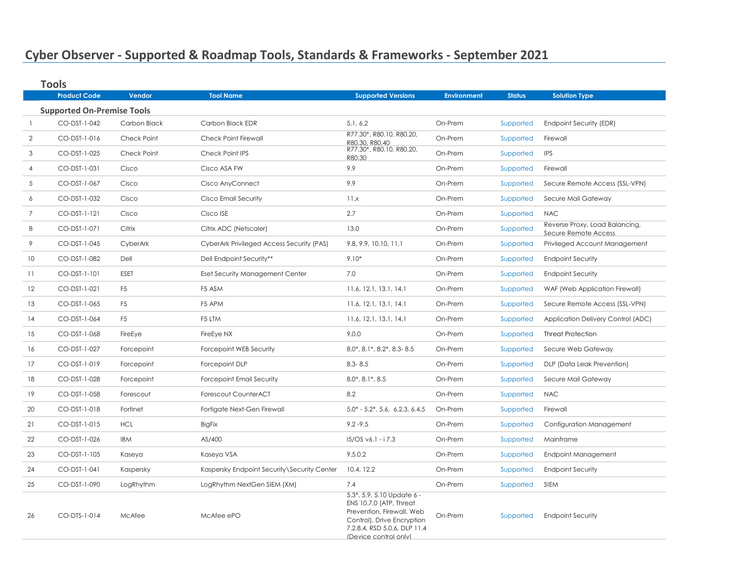## **Cyber Observer - Supported & Roadmap Tools, Standards & Frameworks - September 2021**

|                | <b>Product Code</b>               | Vendor         | <b>Tool Name</b>                            | <b>Supported Versions</b>                                                                                                                                                     | <b>Environment</b> | <b>Status</b> | <b>Solution Type</b>                                   |
|----------------|-----------------------------------|----------------|---------------------------------------------|-------------------------------------------------------------------------------------------------------------------------------------------------------------------------------|--------------------|---------------|--------------------------------------------------------|
|                | <b>Supported On-Premise Tools</b> |                |                                             |                                                                                                                                                                               |                    |               |                                                        |
|                | CO-DST-1-042                      | Carbon Black   | Carbon Black EDR                            | 5.1, 6.2                                                                                                                                                                      | On-Prem            | Supported     | Endpoint Security (EDR)                                |
| 2              | CO-DST-1-016                      | Check Point    | Check Point Firewall                        | R77.30*, R80.10, R80.20,<br>R80.30, R80.40                                                                                                                                    | On-Prem            | Supported     | Firewall                                               |
| 3              | CO-DST-1-025                      | Check Point    | Check Point IPS                             | R77.30*, R80.10, R80.20,<br>R80.30                                                                                                                                            | On-Prem            | Supported     | <b>IPS</b>                                             |
| 4              | CO-DST-1-031                      | Cisco          | Cisco ASA FW                                | 9.9                                                                                                                                                                           | On-Prem            | Supported     | Firewall                                               |
| 5              | CO-DST-1-067                      | Cisco          | Cisco AnyConnect                            | 9.9                                                                                                                                                                           | On-Prem            | Supported     | Secure Remote Access (SSL-VPN)                         |
| 6              | CO-DST-1-032                      | Cisco          | Cisco Email Security                        | 11.x<br>On-Prem                                                                                                                                                               |                    | Supported     | Secure Mail Gateway                                    |
| $\overline{7}$ | CO-DST-1-121                      | Cisco          | Cisco ISE                                   | 2.7<br>On-Prem                                                                                                                                                                |                    | Supported     | <b>NAC</b>                                             |
| 8              | CO-DST-1-071                      | Citrix         | Citrix ADC (Netscaler)                      | 13.0                                                                                                                                                                          | On-Prem            | Supported     | Reverse Proxy, Load Balancing,<br>Secure Remote Access |
| 9              | CO-DST-1-045                      | CyberArk       | CyberArk Privileged Access Security (PAS)   | 9.8, 9.9, 10.10, 11.1                                                                                                                                                         | On-Prem            | Supported     | Privileged Account Management                          |
| 10             | CO-DST-1-082                      | Dell           | Dell Endpoint Security**                    | $9.10*$                                                                                                                                                                       | On-Prem            | Supported     | <b>Endpoint Security</b>                               |
| 11             | CO-DST-1-101                      | ESET           | <b>Eset Security Management Center</b>      | 7.0                                                                                                                                                                           | On-Prem            | Supported     | <b>Endpoint Security</b>                               |
| 12             | CO-DST-1-021                      | F <sub>5</sub> | F5 ASM                                      | 11.6, 12.1, 13.1, 14.1                                                                                                                                                        | On-Prem            | Supported     | WAF (Web Application Firewall)                         |
| 13             | CO-DST-1-065                      | F <sub>5</sub> | F5 APM                                      | 11.6, 12.1, 13.1, 14.1                                                                                                                                                        | On-Prem            | Supported     | Secure Remote Access (SSL-VPN)                         |
| 14             | CO-DST-1-064                      | F <sub>5</sub> | F5 LTM                                      | 11.6, 12.1, 13.1, 14.1                                                                                                                                                        | On-Prem            | Supported     | Application Delivery Control (ADC)                     |
| 15             | CO-DST-1-068                      | FireEye        | FireEye NX                                  | 9.0.0                                                                                                                                                                         | On-Prem            | Supported     | <b>Threat Protection</b>                               |
| 16             | CO-DST-1-027                      | Forcepoint     | Forcepoint WEB Security                     | 8.0*, 8.1*, 8.2*, 8.3-8.5                                                                                                                                                     | On-Prem            | Supported     | Secure Web Gateway                                     |
| 17             | CO-DST-1-019                      | Forcepoint     | Forcepoint DLP                              | $8.3 - 8.5$                                                                                                                                                                   | On-Prem            | Supported     | DLP (Data Leak Prevention)                             |
| 18             | CO-DST-1-028                      | Forcepoint     | <b>Forcepoint Email Security</b>            | $8.0^*$ , $8.1^*$ , $8.5$                                                                                                                                                     | On-Prem            | Supported     | Secure Mail Gateway                                    |
| 19             | CO-DST-1-058                      | Forescout      | Forescout CounterACT                        | 8.2                                                                                                                                                                           | On-Prem            | Supported     | <b>NAC</b>                                             |
| 20             | CO-DST-1-018                      | Fortinet       | Fortigate Next-Gen Firewall                 | $5.0^* - 5.2^*$ , 5.6, 6.2.3, 6.4.5                                                                                                                                           | On-Prem            | Supported     | Firewall                                               |
| 21             | CO-DST-1-015                      | <b>HCL</b>     | <b>BigFix</b>                               | $9.2 - 9.5$                                                                                                                                                                   | On-Prem            | Supported     | Configuration Management                               |
| 22             | CO-DST-1-026                      | IBM            | AS/400                                      | $15/OS v6.1 - i 7.3$                                                                                                                                                          | On-Prem            | Supported     | Mainframe                                              |
| 23             | CO-DST-1-105                      | Kaseya         | Kaseya VSA                                  | 9.5.0.2                                                                                                                                                                       | On-Prem            | Supported     | <b>Endpoint Management</b>                             |
| 24             | CO-DST-1-041                      | Kaspersky      | Kaspersky Endpoint Security\Security Center | 10.4, 12.2                                                                                                                                                                    | On-Prem            | Supported     | <b>Endpoint Security</b>                               |
| 25             | CO-DST-1-090                      | LogRhythm      | LogRhythm NextGen SIEM (XM)                 | 7.4                                                                                                                                                                           | On-Prem            | Supported     | <b>SIEM</b>                                            |
| 26             | CO-DTS-1-014                      | McAfee         | McAfee ePO                                  | $5.3^*$ , 5.9, 5.10 Update 6 -<br>ENS 10.7.0 (ATP, Threat<br>Prevention, Firewall, Web<br>Control), Drive Encryption<br>7.2.8.4, RSD 5.0.6, DLP 11.4<br>(Device control only) | On-Prem            | Supported     | <b>Endpoint Security</b>                               |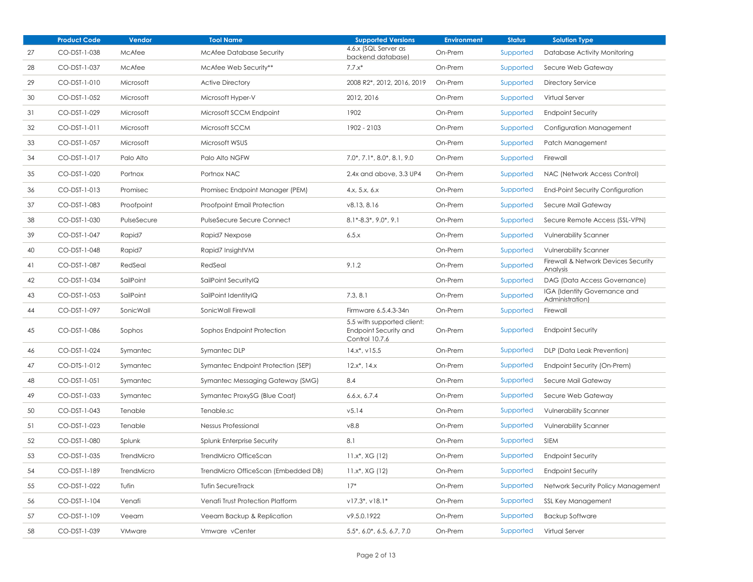|    | <b>Product Code</b> | Vendor        | <b>Tool Name</b>                    | <b>Supported Versions</b>                                                    | <b>Environment</b> | <b>Status</b> | <b>Solution Type</b>                                   |
|----|---------------------|---------------|-------------------------------------|------------------------------------------------------------------------------|--------------------|---------------|--------------------------------------------------------|
| 27 | CO-DST-1-038        | McAfee        | <b>McAfee Database Security</b>     | 4.6.x (SQL Server as<br>backend database)                                    | On-Prem            | Supported     | Database Activity Monitoring                           |
| 28 | CO-DST-1-037        | McAfee        | McAfee Web Security**               | $7.7.x*$                                                                     | On-Prem            | Supported     | Secure Web Gateway                                     |
| 29 | CO-DST-1-010        | Microsoft     | <b>Active Directory</b>             | 2008 R2*, 2012, 2016, 2019                                                   | On-Prem            | Supported     | <b>Directory Service</b>                               |
| 30 | CO-DST-1-052        | Microsoft     | Microsoft Hyper-V                   | 2012, 2016                                                                   | On-Prem            | Supported     | Virtual Server                                         |
| 31 | CO-DST-1-029        | Microsoft     | Microsoft SCCM Endpoint             | 1902                                                                         | On-Prem            | Supported     | <b>Endpoint Security</b>                               |
| 32 | CO-DST-1-011        | Microsoft     | Microsoft SCCM                      | 1902 - 2103                                                                  | On-Prem            | Supported     | Configuration Management                               |
| 33 | CO-DST-1-057        | Microsoft     | Microsoft WSUS                      |                                                                              | On-Prem            | Supported     | Patch Management                                       |
| 34 | CO-DST-1-017        | Palo Alto     | Palo Alto NGFW                      | $7.0^*$ , $7.1^*$ , $8.0^*$ , $8.1$ , $9.0$                                  | On-Prem            | Supported     | Firewall                                               |
| 35 | CO-DST-1-020        | Portnox       | Portnox NAC                         | 2.4x and above, 3.3 UP4                                                      | On-Prem            | Supported     | NAC (Network Access Control)                           |
| 36 | CO-DST-1-013        | Promisec      | Promisec Endpoint Manager (PEM)     | 4.x, 5.x, 6.x                                                                | On-Prem            | Supported     | <b>End-Point Security Configuration</b>                |
| 37 | CO-DST-1-083        | Proofpoint    | Proofpoint Email Protection         | v8.13, 8.16                                                                  | On-Prem            | Supported     | Secure Mail Gateway                                    |
| 38 | CO-DST-1-030        | PulseSecure   | PulseSecure Secure Connect          | $8.1*-8.3*, 9.0*, 9.1$                                                       | On-Prem            | Supported     | Secure Remote Access (SSL-VPN)                         |
| 39 | CO-DST-1-047        | Rapid7        | Rapid7 Nexpose                      | 6.5.x<br>On-Prem                                                             |                    | Supported     | <b>Vulnerability Scanner</b>                           |
| 40 | CO-DST-1-048        | Rapid7        | Rapid7 InsightVM                    |                                                                              | On-Prem            | Supported     | <b>Vulnerability Scanner</b>                           |
| 41 | CO-DST-1-087        | RedSeal       | RedSeal                             | 9.1.2                                                                        | On-Prem            | Supported     | Firewall & Network Devices Security<br>Analysis        |
| 42 | CO-DST-1-034        | SailPoint     | SailPoint SecurityIQ                |                                                                              | On-Prem            | Supported     | DAG (Data Access Governance)                           |
| 43 | CO-DST-1-053        | SailPoint     | SailPoint IdentityIQ                | 7.3, 8.1                                                                     | On-Prem            | Supported     | <b>IGA (Identity Governance and</b><br>Administration) |
| 44 | CO-DST-1-097        | SonicWall     | SonicWall Firewall                  | Firmware 6.5.4.3-34n                                                         | On-Prem            | Supported     | Firewall                                               |
| 45 | CO-DST-1-086        | Sophos        | Sophos Endpoint Protection          | 5.5 with supported client:<br><b>Endpoint Security and</b><br>Control 10.7.6 | On-Prem            | Supported     | <b>Endpoint Security</b>                               |
| 46 | CO-DST-1-024        | Symantec      | Symantec DLP                        | $14.x^*$ , $v15.5$                                                           | On-Prem            | Supported     | DLP (Data Leak Prevention)                             |
| 47 | CO-DTS-1-012        | Symantec      | Symantec Endpoint Protection (SEP)  | $12.x^*$ , $14.x$                                                            | On-Prem            | Supported     | Endpoint Security (On-Prem)                            |
| 48 | CO-DST-1-051        | Symantec      | Symantec Messaging Gateway (SMG)    | 8.4                                                                          | On-Prem            | Supported     | Secure Mail Gateway                                    |
| 49 | CO-DST-1-033        | Symantec      | Symantec ProxySG (Blue Coat)        | 6.6.x, 6.7.4                                                                 | On-Prem            | Supported     | Secure Web Gateway                                     |
| 50 | CO-DST-1-043        | Tenable       | Tenable.sc                          | V5.14                                                                        | On-Prem            | Supported     | <b>Vulnerability Scanner</b>                           |
| 51 | CO-DST-1-023        | Tenable       | Nessus Professional                 | 0.8v                                                                         | On-Prem            | Supported     | <b>Vulnerability Scanner</b>                           |
| 52 | CO-DST-1-080        | Splunk        | <b>Splunk Enterprise Security</b>   | 8.1                                                                          | On-Prem            | Supported     | <b>SIEM</b>                                            |
| 53 | CO-DST-1-035        | TrendMicro    | TrendMicro OfficeScan               | $11.x^*$ , XG (12)                                                           | On-Prem            | Supported     | <b>Endpoint Security</b>                               |
| 54 | CO-DST-1-189        | TrendMicro    | TrendMicro OfficeScan (Embedded DB) | $11.x^*$ , XG (12)                                                           | On-Prem            | Supported     | <b>Endpoint Security</b>                               |
| 55 | CO-DST-1-022        | T∪fin         | <b>Tufin SecureTrack</b>            | $17*$                                                                        | On-Prem            | Supported     | Network Security Policy Management                     |
| 56 | CO-DST-1-104        | Venafi        | Venafi Trust Protection Platform    | $v17.3$ *, $v18.1$ *                                                         | On-Prem            | Supported     | SSL Key Management                                     |
| 57 | CO-DST-1-109        | Veeam         | Veeam Backup & Replication          | v9.5.0.1922                                                                  | On-Prem            | Supported     | <b>Backup Software</b>                                 |
| 58 | CO-DST-1-039        | <b>VMware</b> | Vmware vCenter                      | $5.5^*$ , 6.0 $^*$ , 6.5, 6.7, 7.0                                           | On-Prem            | Supported     | Virtual Server                                         |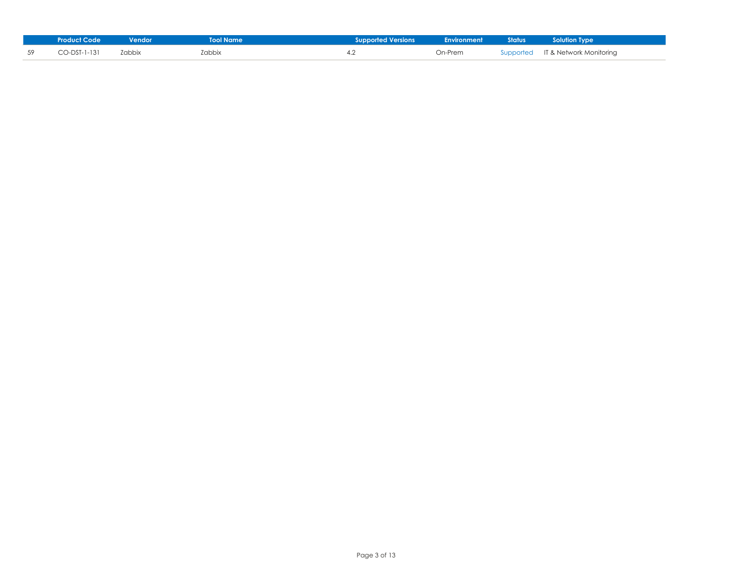|    | <b>Product Code</b> | Vendor | <b>Tool Name</b> | <b>Supported Versions</b> | <b>Environment</b> Status | <b>Example 1</b> Solution Type    |
|----|---------------------|--------|------------------|---------------------------|---------------------------|-----------------------------------|
| 59 | CO-DST-1-131        | Zabbix | Zabbix           |                           | On-Prem                   | Supported IT & Network Monitoring |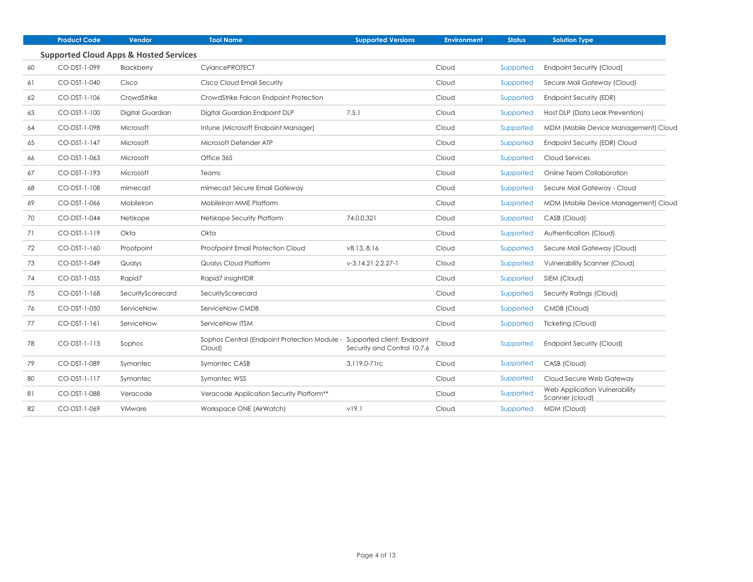|    | <b>Product Code</b> | Vendor                                            | <b>Tool Name</b>                                                                  | <b>Supported Versions</b>   | <b>Environment</b> | <b>Status</b> | <b>Solution Type</b>                             |
|----|---------------------|---------------------------------------------------|-----------------------------------------------------------------------------------|-----------------------------|--------------------|---------------|--------------------------------------------------|
|    |                     | <b>Supported Cloud Apps &amp; Hosted Services</b> |                                                                                   |                             |                    |               |                                                  |
| 60 | CO-DST-1-099        | Blackberry                                        | <b>CylancePROTECT</b>                                                             |                             | Cloud              | Supported     | Endpoint Security (Cloud)                        |
| 61 | CO-DST-1-040        | Cisco                                             | Cisco Cloud Email Security                                                        |                             | Cloud              | Supported     | Secure Mail Gateway (Cloud)                      |
| 62 | CO-DST-1-106        | CrowdStrike                                       | CrowdStrike Falcon Endpoint Protection                                            |                             | Cloud              | Supported     | Endpoint Security (EDR)                          |
| 63 | CO-DST-1-100        | Digital Guardian                                  | Digital Guardian Endpoint DLP                                                     | 7.5.1                       | Cloud              | Supported     | Host DLP (Data Leak Prevention)                  |
| 64 | CO-DST-1-098        | Microsoft                                         | Intune (Microsoft Endpoint Manager)                                               |                             | Cloud              | Supported     | MDM (Mobile Device Management) Cloud             |
| 65 | CO-DST-1-147        | Microsoft                                         | Microsoft Defender ATP                                                            |                             | Cloud              | Supported     | Endpoint Security (EDR) Cloud                    |
| 66 | CO-DST-1-063        | Microsoft                                         | Office 365                                                                        |                             | Cloud              | Supported     | Cloud Services                                   |
| 67 | CO-DST-1-193        | Microsoft                                         | Teams                                                                             |                             | Cloud              | Supported     | Online Team Collaboration                        |
| 68 | CO-DST-1-108        | mimecast                                          | mimecast Secure Email Gateway                                                     |                             | Cloud              | Supported     | Secure Mail Gateway - Cloud                      |
| 69 | CO-DST-1-066        | Mobilelron                                        | MobileIron MME Platform                                                           |                             | Cloud              | Supported     | MDM (Mobile Device Management) Cloud             |
| 70 | CO-DST-1-044        | Netskope                                          | Netskope Security Platform                                                        | 74.0.0.321                  | Cloud              | Supported     | CASB (Cloud)                                     |
| 71 | CO-DST-1-119        | Okta                                              | Okta                                                                              |                             | Cloud              | Supported     | Authentication (Cloud)                           |
| 72 | CO-DST-1-160        | Proofpoint                                        | Proofpoint Email Protection Cloud                                                 | v8.13, 8.16                 | Cloud              | Supported     | Secure Mail Gateway (Cloud)                      |
| 73 | CO-DST-1-049        | Qualys                                            | Qualys Cloud Platform                                                             | $V-3.14.21.2.2.27-1$        | Cloud              | Supported     | Vulnerability Scanner (Cloud)                    |
| 74 | CO-DST-1-055        | Rapid7                                            | Rapid7 insightIDR                                                                 |                             | Cloud              | Supported     | SIEM (Cloud)                                     |
| 75 | CO-DST-1-168        | SecurityScorecard                                 | SecurityScorecard                                                                 |                             | Cloud              | Supported     | Security Ratings (Cloud)                         |
| 76 | CO-DST-1-050        | ServiceNow                                        | ServiceNow CMDB                                                                   |                             | Cloud              | Supported     | CMDB (Cloud)                                     |
| 77 | $CO-DST-1-161$      | ServiceNow                                        | ServiceNow ITSM                                                                   |                             | Cloud              | Supported     | Ticketing (Cloud)                                |
| 78 | CO-DST-1-113        | Sophos                                            | Sophos Central (Endpoint Protection Module - Supported client: Endpoint<br>Cloud) | Security and Control 10.7.6 | Cloud              | Supported     | Endpoint Security (Cloud)                        |
| 79 | CO-DST-1-089        | Symantec                                          | Symantec CASB                                                                     | 3.119.0-71rc                | Cloud              | Supported     | CASB (Cloud)                                     |
| 80 | CO-DST-1-117        | Symantec                                          | Symantec WSS                                                                      |                             | Cloud              | Supported     | Cloud Secure Web Gateway                         |
| 81 | CO-DST-1-088        | Veracode                                          | Veracode Application Security Platform <sup>**</sup>                              |                             | Cloud              | Supported     | Web Application Vulnerability<br>Scanner (cloud) |
| 82 | CO-DST-1-069        | <b>VMware</b>                                     | Workspace ONE (AirWatch)                                                          | v19.1                       | Cloud              | Supported     | MDM (Cloud)                                      |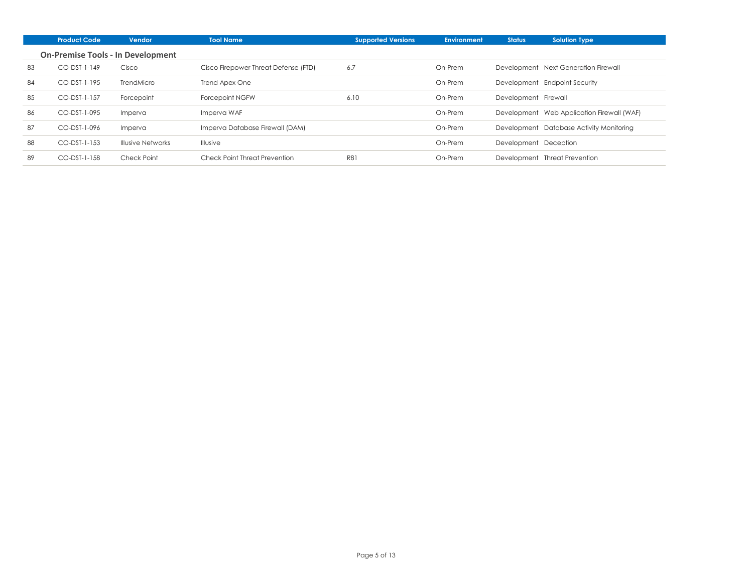|    | <b>Product Code</b> | <b>Vendor</b>                            | <b>Tool Name</b>                     | <b>Supported Versions</b> | <b>Environment</b> | <b>Status</b>         | <b>Solution Type</b>                       |
|----|---------------------|------------------------------------------|--------------------------------------|---------------------------|--------------------|-----------------------|--------------------------------------------|
|    |                     | <b>On-Premise Tools - In Development</b> |                                      |                           |                    |                       |                                            |
| 83 | $CO-DST-1-149$      | Cisco                                    | Cisco Firepower Threat Defense (FTD) | 6.7                       | On-Prem            |                       | Development Next Generation Firewall       |
| 84 | CO-DST-1-195        | TrendMicro                               | Trend Apex One                       |                           | On-Prem            |                       | Development Endpoint Security              |
| 85 | CO-DST-1-157        | Forcepoint                               | Forcepoint NGFW                      | 6.10                      | On-Prem            | Development Firewall  |                                            |
| 86 | CO-DST-1-095        | Imperva                                  | Imperva WAF                          |                           | On-Prem            |                       | Development Web Application Firewall (WAF) |
| 87 | CO-DST-1-096        | Imperva                                  | Imperva Database Firewall (DAM)      |                           | On-Prem            |                       | Development Database Activity Monitoring   |
| 88 | CO-DST-1-153        | <b>Illusive Networks</b>                 | Illusive                             |                           | On-Prem            | Development Deception |                                            |
| 89 | CO-DST-1-158        | Check Point                              | Check Point Threat Prevention        | <b>R81</b>                | On-Prem            |                       | Development Threat Prevention              |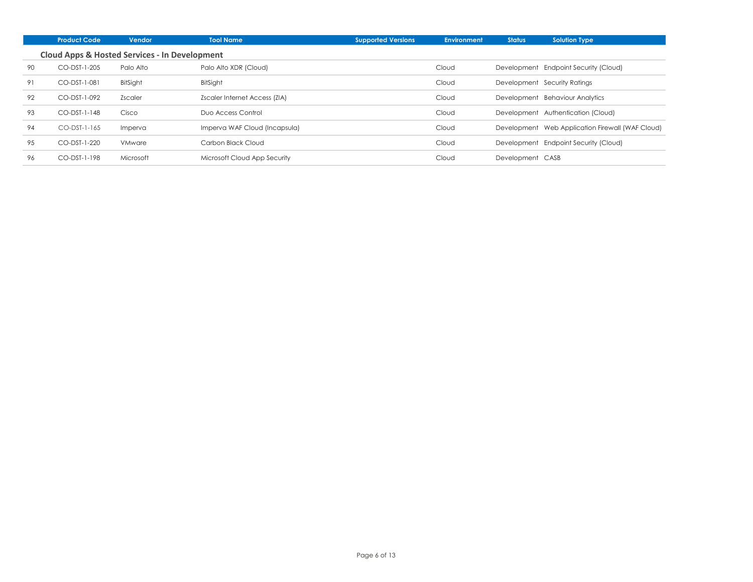|    | <b>Product Code</b>                                      | <b>Vendor</b> | <b>Tool Name</b>              | <b>Supported Versions</b> | <b>Environment</b> | <b>Status</b>    | <b>Solution Type</b>                             |
|----|----------------------------------------------------------|---------------|-------------------------------|---------------------------|--------------------|------------------|--------------------------------------------------|
|    | <b>Cloud Apps &amp; Hosted Services - In Development</b> |               |                               |                           |                    |                  |                                                  |
| 90 | CO-DST-1-205                                             | Palo Alto     | Palo Alto XDR (Cloud)         |                           | Cloud              |                  | Development Endpoint Security (Cloud)            |
| 91 | CO-DST-1-081                                             | BitSight      | BitSight                      |                           | Cloud              |                  | Development Security Ratings                     |
| 92 | CO-DST-1-092                                             | Zscaler       | Zscaler Internet Access (ZIA) |                           | Cloud              |                  | Development Behaviour Analytics                  |
| 93 | CO-DST-1-148                                             | Cisco         | Duo Access Control            |                           | Cloud              |                  | Development Authentication (Cloud)               |
| 94 | $CO-DST-1-165$                                           | Imperva       | Imperva WAF Cloud (Incapsula) |                           | Cloud              |                  | Development Web Application Firewall (WAF Cloud) |
| 95 | CO-DST-1-220                                             | <b>VMware</b> | Carbon Black Cloud            |                           | Cloud              |                  | Development Endpoint Security (Cloud)            |
| 96 | CO-DST-1-198                                             | Microsoft     | Microsoft Cloud App Security  |                           | Cloud              | Development CASB |                                                  |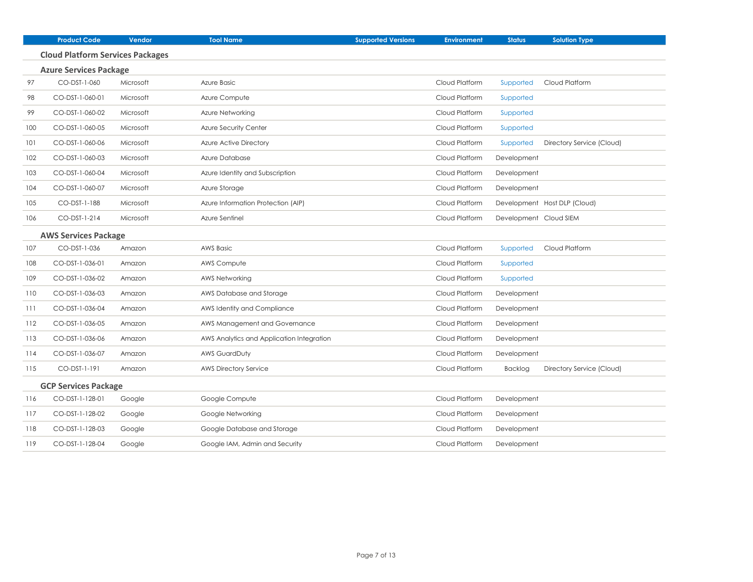|     | <b>Product Code</b>                     | Vendor    | <b>Tool Name</b>                          | <b>Supported Versions</b> | <b>Environment</b> | <b>Status</b>          | <b>Solution Type</b>         |
|-----|-----------------------------------------|-----------|-------------------------------------------|---------------------------|--------------------|------------------------|------------------------------|
|     | <b>Cloud Platform Services Packages</b> |           |                                           |                           |                    |                        |                              |
|     | <b>Azure Services Package</b>           |           |                                           |                           |                    |                        |                              |
| 97  | CO-DST-1-060                            | Microsoft | Azure Basic                               |                           | Cloud Platform     | Supported              | Cloud Platform               |
| 98  | CO-DST-1-060-01                         | Microsoft | Azure Compute                             |                           | Cloud Platform     | Supported              |                              |
| 99  | CO-DST-1-060-02                         | Microsoft | Azure Networking                          |                           | Cloud Platform     | Supported              |                              |
| 100 | CO-DST-1-060-05                         | Microsoft | Azure Security Center                     |                           | Cloud Platform     | Supported              |                              |
| 101 | CO-DST-1-060-06                         | Microsoft | Azure Active Directory                    |                           | Cloud Platform     | Supported              | Directory Service (Cloud)    |
| 102 | CO-DST-1-060-03                         | Microsoft | Azure Database                            |                           | Cloud Platform     | Development            |                              |
| 103 | CO-DST-1-060-04                         | Microsoft | Azure Identity and Subscription           |                           | Cloud Platform     | Development            |                              |
| 104 | CO-DST-1-060-07                         | Microsoft | Azure Storage                             |                           | Cloud Platform     | Development            |                              |
| 105 | CO-DST-1-188                            | Microsoft | Azure Information Protection (AIP)        |                           | Cloud Platform     |                        | Development Host DLP (Cloud) |
| 106 | CO-DST-1-214                            | Microsoft | Azure Sentinel                            |                           | Cloud Platform     | Development Cloud SIEM |                              |
|     | <b>AWS Services Package</b>             |           |                                           |                           |                    |                        |                              |
| 107 | CO-DST-1-036                            | Amazon    | <b>AWS Basic</b>                          |                           | Cloud Platform     | Supported              | Cloud Platform               |
| 108 | CO-DST-1-036-01                         | Amazon    | AWS Compute                               |                           | Cloud Platform     | Supported              |                              |
| 109 | CO-DST-1-036-02                         | Amazon    | <b>AWS Networking</b>                     |                           | Cloud Platform     | Supported              |                              |
| 110 | CO-DST-1-036-03                         | Amazon    | AWS Database and Storage                  |                           | Cloud Platform     | Development            |                              |
| 111 | CO-DST-1-036-04                         | Amazon    | AWS Identity and Compliance               |                           | Cloud Platform     | Development            |                              |
| 112 | CO-DST-1-036-05                         | Amazon    | AWS Management and Governance             |                           | Cloud Platform     | Development            |                              |
| 113 | CO-DST-1-036-06                         | Amazon    | AWS Analytics and Application Integration |                           | Cloud Platform     | Development            |                              |
| 114 | CO-DST-1-036-07                         | Amazon    | <b>AWS GuardDuty</b>                      |                           | Cloud Platform     | Development            |                              |
| 115 | CO-DST-1-191                            | Amazon    | <b>AWS Directory Service</b>              |                           | Cloud Platform     | <b>Backlog</b>         | Directory Service (Cloud)    |
|     | <b>GCP Services Package</b>             |           |                                           |                           |                    |                        |                              |
| 116 | CO-DST-1-128-01                         | Google    | Google Compute                            |                           | Cloud Platform     | Development            |                              |
| 117 | CO-DST-1-128-02                         | Google    | Google Networking                         |                           | Cloud Platform     | Development            |                              |
| 118 | CO-DST-1-128-03                         | Google    | Google Database and Storage               |                           | Cloud Platform     | Development            |                              |
| 119 | CO-DST-1-128-04                         | Google    | Google IAM, Admin and Security            |                           | Cloud Platform     | Development            |                              |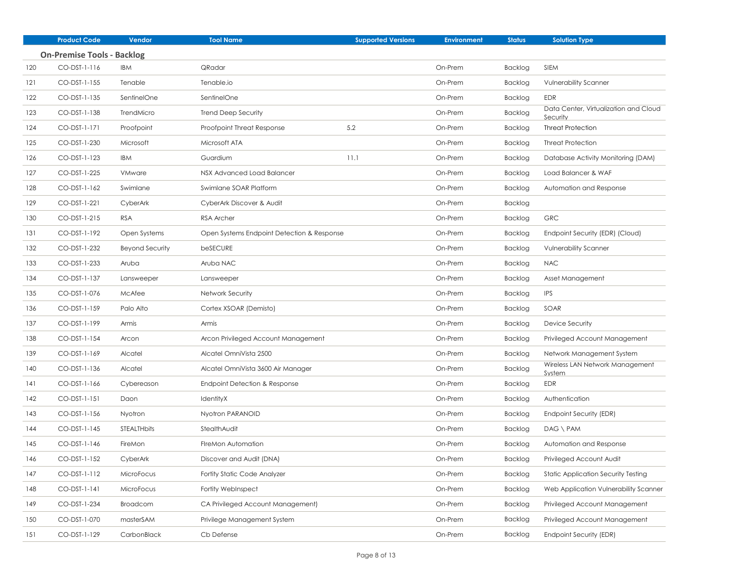|     | <b>Product Code</b>               | Vendor             | <b>Tool Name</b>                           | <b>Supported Versions</b> | <b>Environment</b> | <b>Status</b> | <b>Solution Type</b>                              |
|-----|-----------------------------------|--------------------|--------------------------------------------|---------------------------|--------------------|---------------|---------------------------------------------------|
|     | <b>On-Premise Tools - Backlog</b> |                    |                                            |                           |                    |               |                                                   |
| 120 | CO-DST-1-116                      | <b>IBM</b>         | QRadar                                     |                           | On-Prem            | Backlog       | <b>SIEM</b>                                       |
| 121 | CO-DST-1-155                      | Tenable            | Tenable.io                                 |                           | On-Prem            | Backlog       | <b>Vulnerability Scanner</b>                      |
| 122 | CO-DST-1-135                      | SentinelOne        | SentinelOne                                |                           | On-Prem            | Backlog       | <b>EDR</b>                                        |
| 123 | CO-DST-1-138                      | TrendMicro         | <b>Trend Deep Security</b>                 |                           | On-Prem            | Backlog       | Data Center, Virtualization and Cloud<br>Security |
| 124 | CO-DST-1-171                      | Proofpoint         | Proofpoint Threat Response                 | 5.2                       | On-Prem            | Backlog       | <b>Threat Protection</b>                          |
| 125 | CO-DST-1-230                      | Microsoft          | Microsoft ATA                              |                           | On-Prem            | Backlog       | <b>Threat Protection</b>                          |
| 126 | CO-DST-1-123                      | IBM                | Guardium                                   | 11.1                      | On-Prem            | Backlog       | Database Activity Monitoring (DAM)                |
| 127 | CO-DST-1-225                      | <b>VMware</b>      | NSX Advanced Load Balancer                 |                           | On-Prem            | Backlog       | Load Balancer & WAF                               |
| 128 | CO-DST-1-162                      | Swimlane           | Swimlane SOAR Platform                     |                           | On-Prem            | Backlog       | Automation and Response                           |
| 129 | CO-DST-1-221                      | CyberArk           | CyberArk Discover & Audit                  |                           | On-Prem            | Backlog       |                                                   |
| 130 | CO-DST-1-215                      | <b>RSA</b>         | <b>RSA Archer</b>                          |                           | On-Prem            | Backlog       | <b>GRC</b>                                        |
| 131 | CO-DST-1-192                      | Open Systems       | Open Systems Endpoint Detection & Response |                           | On-Prem            | Backlog       | Endpoint Security (EDR) (Cloud)                   |
| 132 | CO-DST-1-232                      | Beyond Security    | beSECURE                                   |                           | On-Prem            | Backlog       | <b>Vulnerability Scanner</b>                      |
| 133 | CO-DST-1-233                      | Aruba              | Aruba NAC                                  |                           | On-Prem            | Backlog       | <b>NAC</b>                                        |
| 134 | CO-DST-1-137                      | Lansweeper         | Lansweeper                                 |                           | On-Prem            | Backlog       | Asset Management                                  |
| 135 | CO-DST-1-076                      | McAfee             | Network Security                           |                           | On-Prem            | Backlog       | <b>IPS</b>                                        |
| 136 | CO-DST-1-159                      | Palo Alto          | Cortex XSOAR (Demisto)                     |                           | On-Prem            | Backlog       | SOAR                                              |
| 137 | CO-DST-1-199                      | Armis              | Armis                                      |                           | On-Prem            | Backlog       | Device Security                                   |
| 138 | CO-DST-1-154                      | Arcon              | Arcon Privileged Account Management        |                           | On-Prem            | Backlog       | Privileged Account Management                     |
| 139 | CO-DST-1-169                      | Alcatel            | Alcatel OmniVista 2500                     |                           | On-Prem            | Backlog       | Network Management System                         |
| 140 | CO-DST-1-136                      | Alcatel            | Alcatel OmniVista 3600 Air Manager         |                           | On-Prem            | Backlog       | Wireless LAN Network Management<br>System         |
| 141 | CO-DST-1-166                      | Cybereason         | Endpoint Detection & Response              |                           | On-Prem            | Backlog       | <b>EDR</b>                                        |
| 142 | CO-DST-1-151                      | Daon               | IdentityX                                  |                           | On-Prem            | Backlog       | Authentication                                    |
| 143 | CO-DST-1-156                      | Nyotron            | Nyotron PARANOID                           |                           | On-Prem            | Backlog       | Endpoint Security (EDR)                           |
| 144 | CO-DST-1-145                      | <b>STEALTHbits</b> | StealthAudit                               |                           | On-Prem            | Backlog       | $DAG \setminus PAM$                               |
| 145 | CO-DST-1-146                      | FireMon            | FireMon Automation                         |                           | On-Prem            | Backlog       | Automation and Response                           |
| 146 | CO-DST-1-152                      | CyberArk           | Discover and Audit (DNA)                   |                           | On-Prem            | Backlog       | Privileged Account Audit                          |
| 147 | CO-DST-1-112                      | MicroFocus         | Fortity Static Code Analyzer               |                           | On-Prem            | Backlog       | <b>Static Application Security Testing</b>        |
| 148 | CO-DST-1-141                      | MicroFocus         | Fortity WebInspect                         |                           | On-Prem            | Backlog       | Web Application Vulnerability Scanner             |
| 149 | CO-DST-1-234                      | <b>Broadcom</b>    | CA Privileged Account Management)          |                           | On-Prem            | Backlog       | Privileged Account Management                     |
| 150 | CO-DST-1-070                      | masterSAM          | Privilege Management System                |                           | On-Prem            | Backlog       | Privileged Account Management                     |
| 151 | CO-DST-1-129                      | CarbonBlack        | Cb Defense                                 |                           | On-Prem            | Backlog       | Endpoint Security (EDR)                           |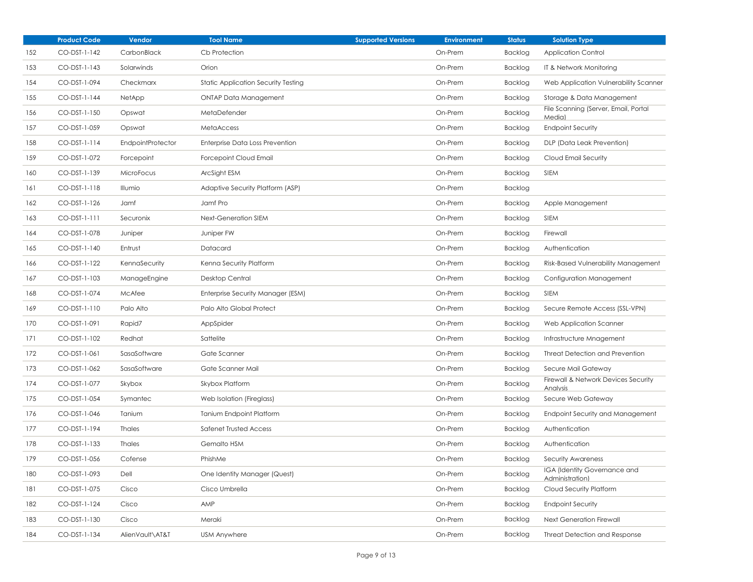|     | <b>Product Code</b> | Vendor            | <b>Tool Name</b>                           | <b>Supported Versions</b> | <b>Environment</b> | <b>Status</b>  | <b>Solution Type</b>                            |
|-----|---------------------|-------------------|--------------------------------------------|---------------------------|--------------------|----------------|-------------------------------------------------|
| 152 | CO-DST-1-142        | CarbonBlack       | Cb Protection                              |                           | On-Prem            | Backlog        | <b>Application Control</b>                      |
| 153 | CO-DST-1-143        | Solarwinds        | Orion                                      |                           | On-Prem            | Backlog        | IT & Network Monitoring                         |
| 154 | CO-DST-1-094        | Checkmarx         | <b>Static Application Security Testing</b> |                           | On-Prem            | Backlog        | Web Application Vulnerability Scanner           |
| 155 | CO-DST-1-144        | NetApp            | <b>ONTAP Data Management</b>               |                           | On-Prem            | Backlog        | Storage & Data Management                       |
| 156 | CO-DST-1-150        | Opswat            | MetaDefender                               |                           | On-Prem            | Backlog        | File Scanning (Server, Email, Portal<br>Media)  |
| 157 | CO-DST-1-059        | Opswat            | <b>MetaAccess</b>                          |                           | On-Prem            | Backlog        | <b>Endpoint Security</b>                        |
| 158 | CO-DST-1-114        | EndpointProtector | <b>Enterprise Data Loss Prevention</b>     |                           | On-Prem            | Backlog        | DLP (Data Leak Prevention)                      |
| 159 | CO-DST-1-072        | Forcepoint        | Forcepoint Cloud Email                     |                           | On-Prem            | Backlog        | Cloud Email Security                            |
| 160 | CO-DST-1-139        | MicroFocus        | ArcSight ESM                               |                           | On-Prem            | Backlog        | <b>SIEM</b>                                     |
| 161 | CO-DST-1-118        | Illumio           | Adaptive Security Platform (ASP)           |                           | On-Prem            | Backlog        |                                                 |
| 162 | CO-DST-1-126        | Jamf              | Jamf Pro                                   |                           | On-Prem            | Backlog        | Apple Management                                |
| 163 | CO-DST-1-111        | Securonix         | <b>Next-Generation SIEM</b>                |                           | On-Prem            | <b>Backlog</b> | <b>SIEM</b>                                     |
| 164 | CO-DST-1-078        | Juniper           | Juniper FW                                 |                           | On-Prem            | Backlog        | Firewall                                        |
| 165 | CO-DST-1-140        | Entrust           | Datacard                                   |                           | On-Prem            | Backlog        | Authentication                                  |
| 166 | CO-DST-1-122        | KennaSecurity     | Kenna Security Platform                    |                           | On-Prem            | Backlog        | Risk-Based Vulnerability Management             |
| 167 | CO-DST-1-103        | ManageEngine      | Desktop Central                            |                           | On-Prem            | Backlog        | Configuration Management                        |
| 168 | CO-DST-1-074        | McAfee            | Enterprise Security Manager (ESM)          |                           | On-Prem            | Backlog        | <b>SIEM</b>                                     |
| 169 | CO-DST-1-110        | Palo Alto         | Palo Alto Global Protect                   |                           | On-Prem            | Backlog        | Secure Remote Access (SSL-VPN)                  |
| 170 | CO-DST-1-091        | Rapid7            | AppSpider                                  |                           | On-Prem            | Backlog        | Web Application Scanner                         |
| 171 | CO-DST-1-102        | Redhat            | Sattelite                                  |                           | On-Prem            | Backlog        | Infrastructure Mnagement                        |
| 172 | CO-DST-1-061        | SasaSoftware      | Gate Scanner                               |                           | On-Prem            | Backlog        | Threat Detection and Prevention                 |
| 173 | CO-DST-1-062        | SasaSoftware      | Gate Scanner Mail                          |                           | On-Prem            | Backlog        | Secure Mail Gateway                             |
| 174 | CO-DST-1-077        | Skybox            | Skybox Platform                            |                           | On-Prem            | Backlog        | Firewall & Network Devices Security<br>Analysis |
| 175 | CO-DST-1-054        | Symantec          | Web Isolation (Fireglass)                  |                           | On-Prem            | Backlog        | Secure Web Gateway                              |
| 176 | CO-DST-1-046        | Tanium            | <b>Tanium Endpoint Platform</b>            |                           | On-Prem            | Backlog        | <b>Endpoint Security and Management</b>         |
| 177 | CO-DST-1-194        | <b>Thales</b>     | Safenet Trusted Access                     |                           | On-Prem            | Backlog        | Authentication                                  |
| 178 | CO-DST-1-133        | Thales            | Gemalto HSM                                |                           | On-Prem            | Backlog        | Authentication                                  |
| 179 | CO-DST-1-056        | Cofense           | PhishMe                                    |                           | On-Prem            | Backlog        | Security Awareness                              |
| 180 | CO-DST-1-093        | Dell              | One Identity Manager (Quest)               |                           | On-Prem            | Backlog        | IGA (Identity Governance and<br>Administration) |
| 181 | CO-DST-1-075        | Cisco             | Cisco Umbrella                             |                           | On-Prem            | Backlog        | Cloud Security Platform                         |
| 182 | CO-DST-1-124        | Cisco             | AMP                                        |                           | On-Prem            | Backlog        | <b>Endpoint Security</b>                        |
| 183 | CO-DST-1-130        | Cisco             | Meraki                                     |                           | On-Prem            | Backlog        | Next Generation Firewall                        |
| 184 | CO-DST-1-134        | AlienVault\AT&T   | <b>USM Anywhere</b>                        |                           | On-Prem            | Backlog        | Threat Detection and Response                   |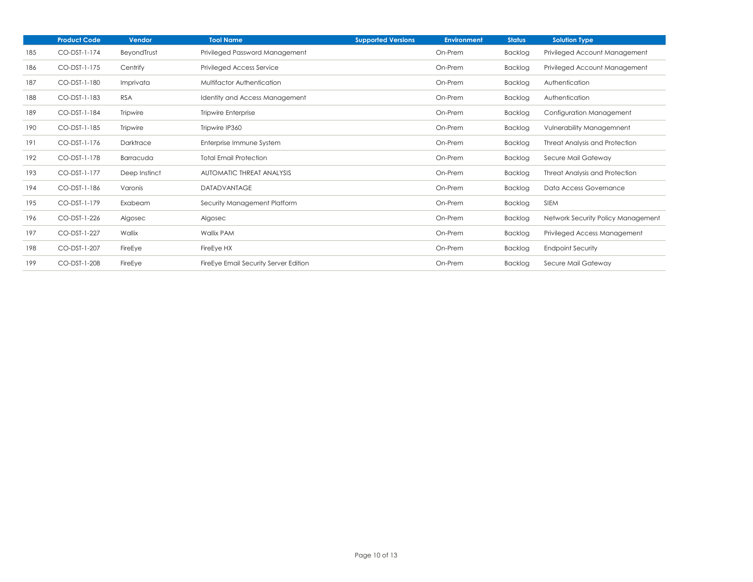|     | <b>Product Code</b> | Vendor          | <b>Tool Name</b>                      | <b>Supported Versions</b> | Environment | <b>Status</b>  | <b>Solution Type</b>               |
|-----|---------------------|-----------------|---------------------------------------|---------------------------|-------------|----------------|------------------------------------|
| 185 | CO-DST-1-174        | BeyondTrust     | Privileged Password Management        |                           | On-Prem     | Backlog        | Privileged Account Management      |
| 186 | CO-DST-1-175        | Centrify        | <b>Privileged Access Service</b>      |                           | On-Prem     | Backlog        | Privileged Account Management      |
| 187 | CO-DST-1-180        | Imprivata       | Multifactor Authentication            |                           | On-Prem     | Backlog        | Authentication                     |
| 188 | CO-DST-1-183        | <b>RSA</b>      | <b>Identity and Access Management</b> |                           | On-Prem     | Backlog        | Authentication                     |
| 189 | CO-DST-1-184        | <b>Tripwire</b> | <b>Tripwire Enterprise</b>            |                           | On-Prem     | <b>Backlog</b> | Configuration Management           |
| 190 | CO-DST-1-185        | <b>Tripwire</b> | Tripwire IP360                        |                           | On-Prem     | Backlog        | <b>Vulnerability Managemnent</b>   |
| 191 | CO-DST-1-176        | Darktrace       | Enterprise Immune System              |                           | On-Prem     | <b>Backlog</b> | Threat Analysis and Protection     |
| 192 | CO-DST-1-178        | Barracuda       | <b>Total Email Protection</b>         |                           | On-Prem     | Backlog        | Secure Mail Gateway                |
| 193 | CO-DST-1-177        | Deep Instinct   | AUTOMATIC THREAT ANALYSIS             |                           | On-Prem     | <b>Backlog</b> | Threat Analysis and Protection     |
| 194 | CO-DST-1-186        | Varonis         | <b>DATADVANTAGE</b>                   |                           | On-Prem     | Backlog        | Data Access Governance             |
| 195 | CO-DST-1-179        | Exabeam         | Security Management Platform          |                           | On-Prem     | Backlog        | <b>SIEM</b>                        |
| 196 | CO-DST-1-226        | Algosec         | Algosec                               |                           | On-Prem     | Backlog        | Network Security Policy Management |
| 197 | CO-DST-1-227        | Wallix          | Wallix PAM                            |                           | On-Prem     | Backlog        | Privileged Access Management       |
| 198 | CO-DST-1-207        | FireEye         | FireEye HX                            |                           | On-Prem     | Backlog        | <b>Endpoint Security</b>           |
| 199 | CO-DST-1-208        | FireEye         | FireEye Email Security Server Edition |                           | On-Prem     | Backlog        | Secure Mail Gateway                |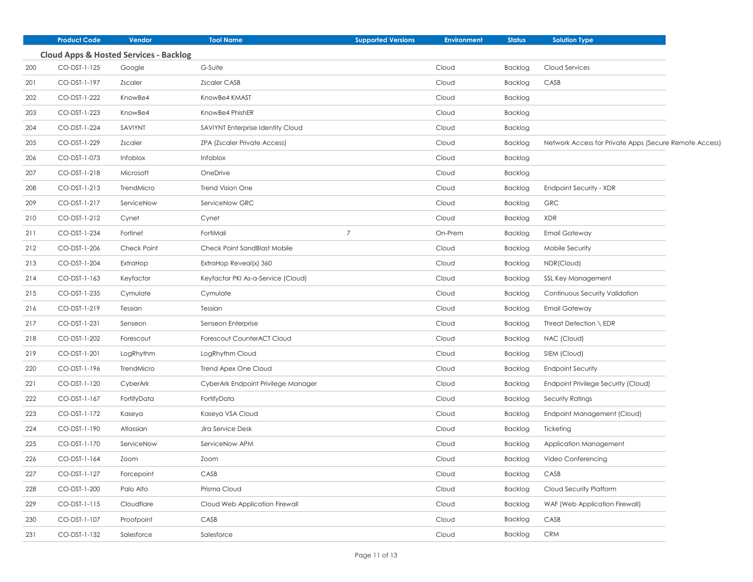|     | <b>Product Code</b> | Vendor                                            | <b>Tool Name</b>                    | <b>Supported Versions</b> | <b>Environment</b> | <b>Status</b>  | <b>Solution Type</b>                                   |
|-----|---------------------|---------------------------------------------------|-------------------------------------|---------------------------|--------------------|----------------|--------------------------------------------------------|
|     |                     | <b>Cloud Apps &amp; Hosted Services - Backlog</b> |                                     |                           |                    |                |                                                        |
| 200 | CO-DST-1-125        | Google                                            | G-Suite                             |                           | Cloud              | Backlog        | Cloud Services                                         |
| 201 | CO-DST-1-197        | Zscaler                                           | Zscaler CASB                        |                           | Cloud              | Backlog        | CASB                                                   |
| 202 | CO-DST-1-222        | KnowBe4                                           | KnowBe4 KMAST                       |                           | Cloud              | Backlog        |                                                        |
| 203 | CO-DST-1-223        | KnowBe4                                           | KnowBe4 PhishER                     |                           | Cloud              | Backlog        |                                                        |
| 204 | CO-DST-1-224        | SAVIYNT                                           | SAVIYNT Enterprise Identity Cloud   |                           | Cloud              | Backlog        |                                                        |
| 205 | CO-DST-1-229        | Zscaler                                           | ZPA (Zscaler Private Access)        |                           | Cloud              | <b>Backlog</b> | Network Access for Private Apps (Secure Remote Access) |
| 206 | CO-DST-1-073        | Infoblox                                          | Infoblox                            |                           | Cloud              | <b>Backlog</b> |                                                        |
| 207 | CO-DST-1-218        | Microsoft                                         | OneDrive                            |                           | Cloud              | Backlog        |                                                        |
| 208 | CO-DST-1-213        | TrendMicro                                        | <b>Trend Vision One</b>             |                           | Cloud              | Backlog        | Endpoint Security - XDR                                |
| 209 | CO-DST-1-217        | ServiceNow                                        | ServiceNow GRC                      |                           | Cloud              | Backlog        | <b>GRC</b>                                             |
| 210 | CO-DST-1-212        | Cynet                                             | Cynet                               |                           | Cloud              | Backlog        | XDR                                                    |
| 211 | CO-DST-1-234        | Fortinet                                          | FortiMail                           | $\overline{7}$            | On-Prem            | <b>Backlog</b> | <b>Email Gateway</b>                                   |
| 212 | CO-DST-1-206        | Check Point                                       | Check Point SandBlast Mobile        |                           | Cloud              | Backlog        | Mobile Security                                        |
| 213 | CO-DST-1-204        | ExtraHop                                          | ExtraHop Reveal(x) 360              |                           | Cloud              | <b>Backlog</b> | NDR(Cloud)                                             |
| 214 | CO-DST-1-163        | Keyfactor                                         | Keyfactor PKI As-a-Service (Cloud)  |                           | Cloud              | Backlog        | SSL Key Management                                     |
| 215 | CO-DST-1-235        | Cymulate                                          | Cymulate                            |                           | Cloud              | <b>Backlog</b> | Continuous Security Validation                         |
| 216 | CO-DST-1-219        | Tessian                                           | Tessian                             |                           | Cloud              | <b>Backlog</b> | <b>Email Gateway</b>                                   |
| 217 | CO-DST-1-231        | Senseon                                           | Senseon Enterprise                  |                           | Cloud              | <b>Backlog</b> | Threat Detection \ EDR                                 |
| 218 | CO-DST-1-202        | Forescout                                         | Forescout CounterACT Cloud          |                           | Cloud              | Backlog        | NAC (Cloud)                                            |
| 219 | CO-DST-1-201        | LogRhythm                                         | LogRhythm Cloud                     |                           | Cloud              | <b>Backlog</b> | SIEM (Cloud)                                           |
| 220 | CO-DST-1-196        | TrendMicro                                        | Trend Apex One Cloud                |                           | Cloud              | <b>Backlog</b> | <b>Endpoint Security</b>                               |
| 221 | CO-DST-1-120        | CyberArk                                          | CyberArk Endpoint Privilege Manager |                           | Cloud              | <b>Backlog</b> | Endpoint Privilege Security (Cloud)                    |
| 222 | CO-DST-1-167        | FortifyData                                       | FortifyData                         |                           | Cloud              | <b>Backlog</b> | Security Ratings                                       |
| 223 | CO-DST-1-172        | Kaseya                                            | Kaseya VSA Cloud                    |                           | Cloud              | <b>Backlog</b> | Endpoint Management (Cloud)                            |
| 224 | CO-DST-1-190        | Atlassian                                         | Jira Service Desk                   |                           | Cloud              | <b>Backlog</b> | Ticketing                                              |
| 225 | CO-DST-1-170        | ServiceNow                                        | ServiceNow APM                      |                           | Cloud              | <b>Backlog</b> | Application Management                                 |
| 226 | CO-DST-1-164        | Zoom                                              | Zoom                                |                           | Cloud              | Backlog        | Video Conferencing                                     |
| 227 | CO-DST-1-127        | Forcepoint                                        | CASB                                |                           | Cloud              | Backlog        | CASB                                                   |
| 228 | CO-DST-1-200        | Palo Alto                                         | Prisma Cloud                        |                           | Cloud              | <b>Backlog</b> | Cloud Security Platform                                |
| 229 | CO-DST-1-115        | Cloudflare                                        | Cloud Web Application Firewall      |                           | Cloud              | Backlog        | WAF (Web Application Firewall)                         |
| 230 | CO-DST-1-107        | Proofpoint                                        | CASB                                |                           | Cloud              | Backlog        | CASB                                                   |
| 231 | CO-DST-1-132        | Salesforce                                        | Salesforce                          |                           | Cloud              | Backlog        | <b>CRM</b>                                             |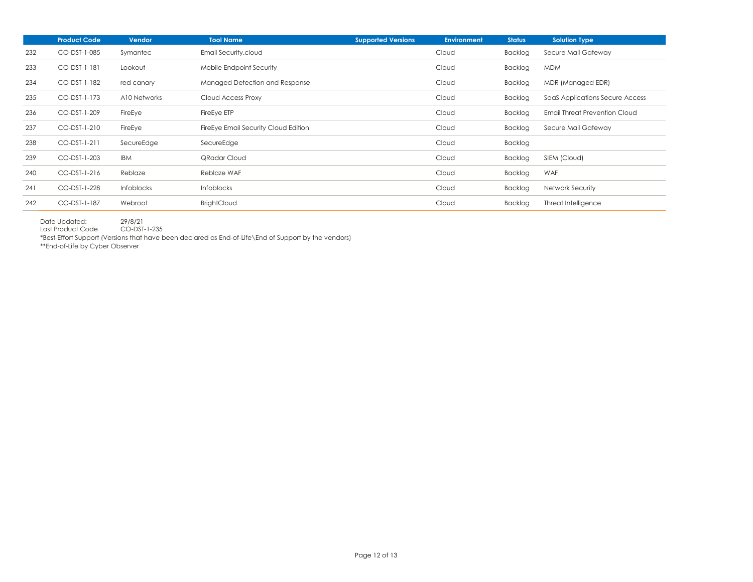|     | <b>Product Code</b> | <b>Vendor</b> | <b>Tool Name</b>                     | <b>Supported Versions</b> | <b>Environment</b> | <b>Status</b> | <b>Solution Type</b>            |
|-----|---------------------|---------------|--------------------------------------|---------------------------|--------------------|---------------|---------------------------------|
| 232 | CO-DST-1-085        | Symantec      | Email Security.cloud                 |                           | Cloud              | Backlog       | Secure Mail Gateway             |
| 233 | CO-DST-1-181        | Lookout       | Mobile Endpoint Security             |                           | Cloud              | Backlog       | <b>MDM</b>                      |
| 234 | CO-DST-1-182        | red canary    | Managed Detection and Response       |                           | Cloud              | Backlog       | MDR (Managed EDR)               |
| 235 | CO-DST-1-173        | A10 Networks  | Cloud Access Proxy                   |                           | Cloud              | Backlog       | SaaS Applications Secure Access |
| 236 | CO-DST-1-209        | FireEye       | FireEye ETP                          |                           | Cloud              | Backlog       | Email Threat Prevention Cloud   |
| 237 | CO-DST-1-210        | FireEye       | FireEye Email Security Cloud Edition |                           | Cloud              | Backlog       | Secure Mail Gateway             |
| 238 | CO-DST-1-211        | SecureEdge    | SecureEdge                           |                           | Cloud              | Backlog       |                                 |
| 239 | CO-DST-1-203        | <b>IBM</b>    | QRadar Cloud                         |                           | Cloud              | Backlog       | SIEM (Cloud)                    |
| 240 | CO-DST-1-216        | Reblaze       | Reblaze WAF                          |                           | Cloud              | Backlog       | <b>WAF</b>                      |
| 241 | CO-DST-1-228        | Infoblocks    | <b>Infoblocks</b>                    |                           | Cloud              | Backlog       | Network Security                |
| 242 | CO-DST-1-187        | Webroot       | <b>BrightCloud</b>                   |                           | Cloud              | Backlog       | Threat Intelligence             |

Date Updated: 29/8/21

Last Product Code CO-DST-1-235

\*Best-Effort Support (Versions that have been declared as End-of-Life\End of Support by the vendors)

\*\*End-of-Life by Cyber Observer